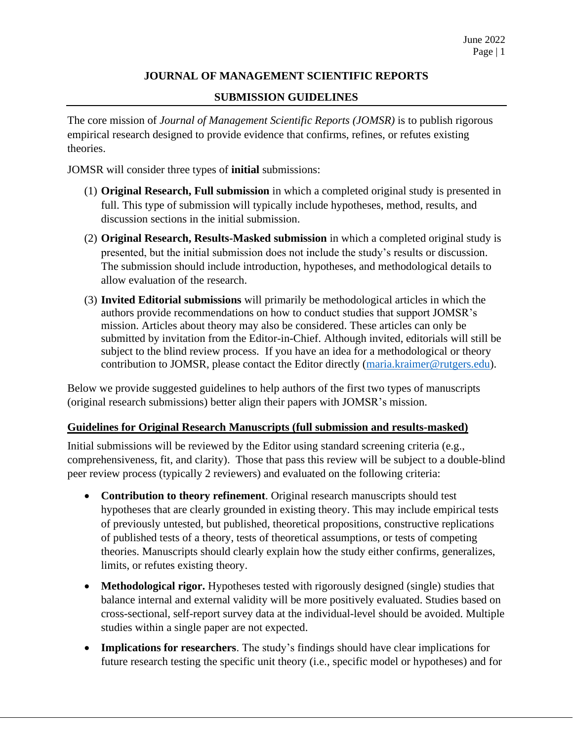# **JOURNAL OF MANAGEMENT SCIENTIFIC REPORTS**

## **SUBMISSION GUIDELINES**

The core mission of *Journal of Management Scientific Reports (JOMSR)* is to publish rigorous empirical research designed to provide evidence that confirms, refines, or refutes existing theories.

JOMSR will consider three types of **initial** submissions:

- (1) **Original Research, Full submission** in which a completed original study is presented in full. This type of submission will typically include hypotheses, method, results, and discussion sections in the initial submission.
- (2) **Original Research, Results-Masked submission** in which a completed original study is presented, but the initial submission does not include the study's results or discussion. The submission should include introduction, hypotheses, and methodological details to allow evaluation of the research.
- (3) **Invited Editorial submissions** will primarily be methodological articles in which the authors provide recommendations on how to conduct studies that support JOMSR's mission. Articles about theory may also be considered. These articles can only be submitted by invitation from the Editor-in-Chief. Although invited, editorials will still be subject to the blind review process. If you have an idea for a methodological or theory contribution to JOMSR, please contact the Editor directly [\(maria.kraimer@rutgers.edu\)](mailto:maria.kraimer@rutgers.edu).

Below we provide suggested guidelines to help authors of the first two types of manuscripts (original research submissions) better align their papers with JOMSR's mission.

#### **Guidelines for Original Research Manuscripts (full submission and results-masked)**

Initial submissions will be reviewed by the Editor using standard screening criteria (e.g., comprehensiveness, fit, and clarity). Those that pass this review will be subject to a double-blind peer review process (typically 2 reviewers) and evaluated on the following criteria:

- **Contribution to theory refinement**. Original research manuscripts should test hypotheses that are clearly grounded in existing theory. This may include empirical tests of previously untested, but published, theoretical propositions, constructive replications of published tests of a theory, tests of theoretical assumptions, or tests of competing theories. Manuscripts should clearly explain how the study either confirms, generalizes, limits, or refutes existing theory.
- **Methodological rigor.** Hypotheses tested with rigorously designed (single) studies that balance internal and external validity will be more positively evaluated. Studies based on cross-sectional, self-report survey data at the individual-level should be avoided. Multiple studies within a single paper are not expected.
- **Implications for researchers**. The study's findings should have clear implications for future research testing the specific unit theory (i.e., specific model or hypotheses) and for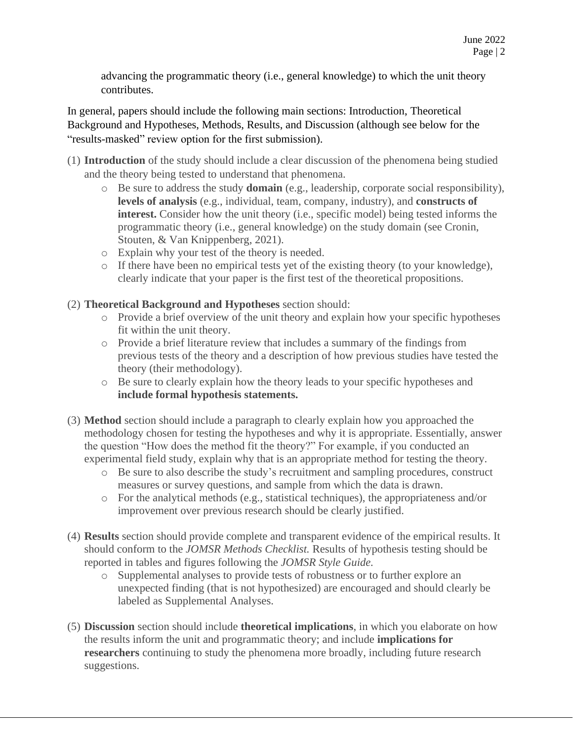advancing the programmatic theory (i.e., general knowledge) to which the unit theory contributes.

In general, papers should include the following main sections: Introduction, Theoretical Background and Hypotheses, Methods, Results, and Discussion (although see below for the "results-masked" review option for the first submission).

- (1) **Introduction** of the study should include a clear discussion of the phenomena being studied and the theory being tested to understand that phenomena.
	- o Be sure to address the study **domain** (e.g., leadership, corporate social responsibility), **levels of analysis** (e.g., individual, team, company, industry), and **constructs of interest.** Consider how the unit theory (i.e., specific model) being tested informs the programmatic theory (i.e., general knowledge) on the study domain (see Cronin, Stouten, & Van Knippenberg, 2021).
	- o Explain why your test of the theory is needed.
	- o If there have been no empirical tests yet of the existing theory (to your knowledge), clearly indicate that your paper is the first test of the theoretical propositions.
- (2) **Theoretical Background and Hypotheses** section should:
	- o Provide a brief overview of the unit theory and explain how your specific hypotheses fit within the unit theory.
	- o Provide a brief literature review that includes a summary of the findings from previous tests of the theory and a description of how previous studies have tested the theory (their methodology).
	- o Be sure to clearly explain how the theory leads to your specific hypotheses and **include formal hypothesis statements.**
- (3) **Method** section should include a paragraph to clearly explain how you approached the methodology chosen for testing the hypotheses and why it is appropriate. Essentially, answer the question "How does the method fit the theory?" For example, if you conducted an experimental field study, explain why that is an appropriate method for testing the theory.
	- o Be sure to also describe the study's recruitment and sampling procedures, construct measures or survey questions, and sample from which the data is drawn.
	- o For the analytical methods (e.g., statistical techniques), the appropriateness and/or improvement over previous research should be clearly justified.
- (4) **Results** section should provide complete and transparent evidence of the empirical results. It should conform to the *JOMSR Methods Checklist.* Results of hypothesis testing should be reported in tables and figures following the *JOMSR Style Guide.*
	- o Supplemental analyses to provide tests of robustness or to further explore an unexpected finding (that is not hypothesized) are encouraged and should clearly be labeled as Supplemental Analyses.
- (5) **Discussion** section should include **theoretical implications**, in which you elaborate on how the results inform the unit and programmatic theory; and include **implications for researchers** continuing to study the phenomena more broadly, including future research suggestions.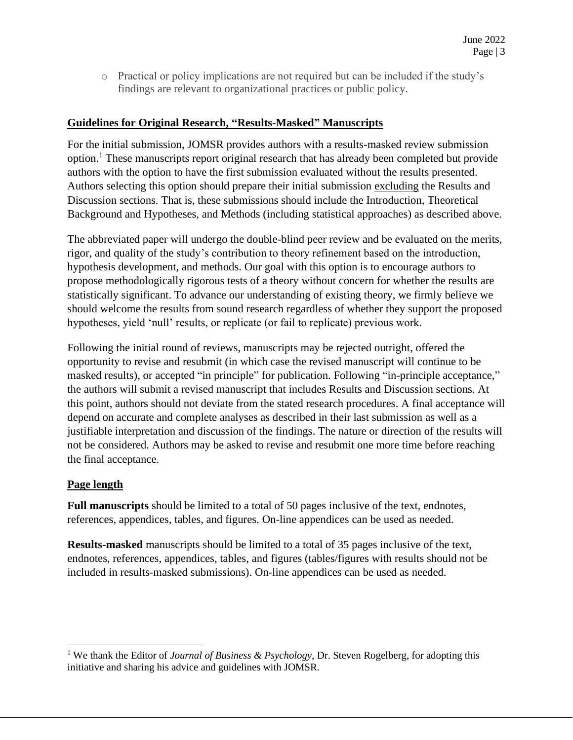o Practical or policy implications are not required but can be included if the study's findings are relevant to organizational practices or public policy.

### **Guidelines for Original Research, "Results-Masked" Manuscripts**

For the initial submission, JOMSR provides authors with a results-masked review submission option.<sup>1</sup> These manuscripts report original research that has already been completed but provide authors with the option to have the first submission evaluated without the results presented. Authors selecting this option should prepare their initial submission excluding the Results and Discussion sections. That is, these submissions should include the Introduction, Theoretical Background and Hypotheses, and Methods (including statistical approaches) as described above.

The abbreviated paper will undergo the double-blind peer review and be evaluated on the merits, rigor, and quality of the study's contribution to theory refinement based on the introduction, hypothesis development, and methods. Our goal with this option is to encourage authors to propose methodologically rigorous tests of a theory without concern for whether the results are statistically significant. To advance our understanding of existing theory, we firmly believe we should welcome the results from sound research regardless of whether they support the proposed hypotheses, yield 'null' results, or replicate (or fail to replicate) previous work.

Following the initial round of reviews, manuscripts may be rejected outright, offered the opportunity to revise and resubmit (in which case the revised manuscript will continue to be masked results), or accepted "in principle" for publication. Following "in-principle acceptance," the authors will submit a revised manuscript that includes Results and Discussion sections. At this point, authors should not deviate from the stated research procedures. A final acceptance will depend on accurate and complete analyses as described in their last submission as well as a justifiable interpretation and discussion of the findings. The nature or direction of the results will not be considered. Authors may be asked to revise and resubmit one more time before reaching the final acceptance.

### **Page length**

**Full manuscripts** should be limited to a total of 50 pages inclusive of the text, endnotes, references, appendices, tables, and figures. On-line appendices can be used as needed.

**Results-masked** manuscripts should be limited to a total of 35 pages inclusive of the text, endnotes, references, appendices, tables, and figures (tables/figures with results should not be included in results-masked submissions). On-line appendices can be used as needed.

<sup>&</sup>lt;sup>1</sup> We thank the Editor of *Journal of Business & Psychology*, Dr. Steven Rogelberg, for adopting this initiative and sharing his advice and guidelines with JOMSR.